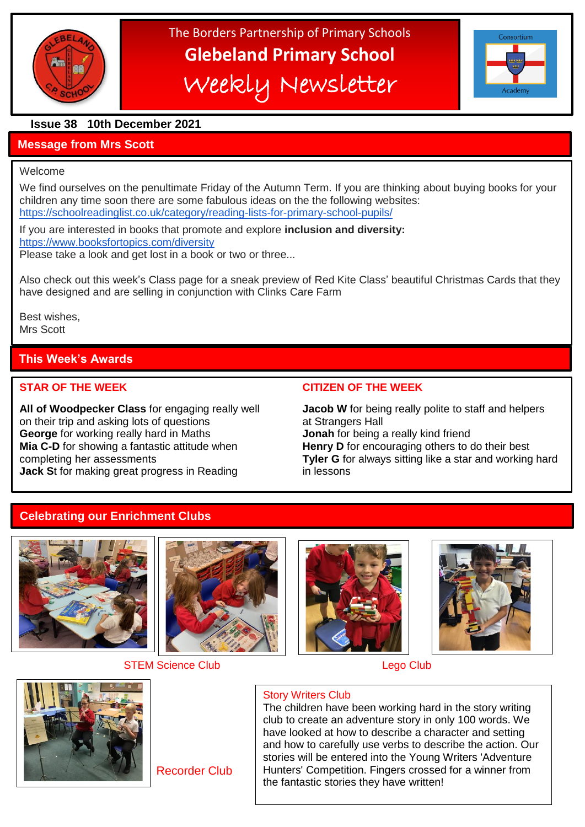

# The Borders Partnership of Primary Schools **Glebeland Primary School** Weekly Newsletter



# **Issue 38 10th December 2021**

# **Message from Mrs Scott**

#### Welcome

We find ourselves on the penultimate Friday of the Autumn Term. If you are thinking about buying books for your children any time soon there are some fabulous ideas on the the following websites: <https://schoolreadinglist.co.uk/category/reading-lists-for-primary-school-pupils/>

If you are interested in books that promote and explore **inclusion and diversity:** <https://www.booksfortopics.com/diversity>

Please take a look and get lost in a book or two or three...

Also check out this week's Class page for a sneak preview of Red Kite Class' beautiful Christmas Cards that they have designed and are selling in conjunction with Clinks Care Farm

Best wishes, Mrs Scott

# **This Week's Awards**

Well done to all of them

**All of Woodpecker Class** for engaging really well **Jacob W** for being really polite to staff and helpers on their trip and asking lots of questions at Strangers Hall **George** for working really hard in Maths **Jonah** for being a really kind friend **Mia C-D** for showing a fantastic attitude when **Henry D** for encouraging others to do their best **Jack St for making great progress in Reading in lessons** 

## **STAR OF THE WEEK CITIZEN OF THE WEEK**

completing her assessments **Tyler G** for always sitting like a star and working hard

# **Celebrating our Enrichment Clubs**





STEM Science Club **Lego Club** Lego Club







Recorder Club

# Story Writers Club

The children have been working hard in the story writing club to create an adventure story in only 100 words. We have looked at how to describe a character and setting and how to carefully use verbs to describe the action. Our stories will be entered into the Young Writers 'Adventure Hunters' Competition. Fingers crossed for a winner from the fantastic stories they have written!